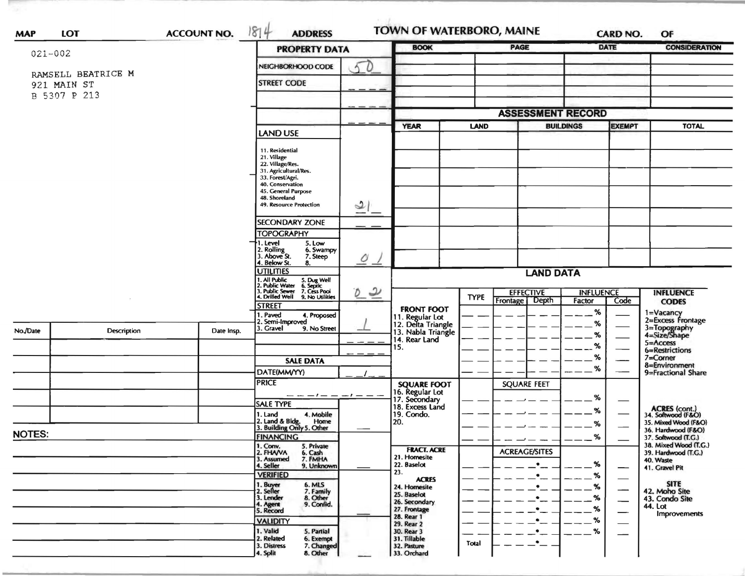| 021-002                                           |             |                                                                                                                           | <b>PROPERTY DATA</b>                                      | <b>BOOK</b>      |                                                             | <b>PAGE</b>                           |                      | <b>DATE</b>              | <b>CONSIDERATION</b>             |                                              |
|---------------------------------------------------|-------------|---------------------------------------------------------------------------------------------------------------------------|-----------------------------------------------------------|------------------|-------------------------------------------------------------|---------------------------------------|----------------------|--------------------------|----------------------------------|----------------------------------------------|
|                                                   |             |                                                                                                                           | NEIGHBORHOOD CODE<br>D                                    |                  |                                                             |                                       |                      |                          |                                  |                                              |
| RAMSELL BEATRICE M<br>921 MAIN ST<br>B 5307 P 213 |             |                                                                                                                           |                                                           |                  |                                                             |                                       |                      |                          |                                  |                                              |
|                                                   |             |                                                                                                                           | <b>STREET CODE</b>                                        |                  |                                                             |                                       |                      |                          |                                  |                                              |
|                                                   |             |                                                                                                                           |                                                           |                  |                                                             |                                       |                      |                          |                                  |                                              |
|                                                   |             |                                                                                                                           | <b>ASSESSMENT RECORD</b>                                  |                  |                                                             |                                       |                      |                          |                                  |                                              |
|                                                   |             |                                                                                                                           | <b>LAND USE</b>                                           |                  | <b>YEAR</b>                                                 | <b>LAND</b>                           |                      | <b>BUILDINGS</b>         | <b>EXEMPT</b>                    | <b>TOTAL</b>                                 |
|                                                   |             |                                                                                                                           | 11. Residential                                           |                  |                                                             |                                       |                      |                          |                                  |                                              |
|                                                   |             |                                                                                                                           | 21. Village<br>22. Village/Res.                           |                  |                                                             |                                       |                      |                          |                                  |                                              |
|                                                   |             |                                                                                                                           | 31. Agricultural/Res.                                     |                  |                                                             |                                       |                      |                          |                                  |                                              |
|                                                   |             |                                                                                                                           | 33. Forest/Agri.<br>40. Conservation                      |                  |                                                             |                                       |                      |                          |                                  |                                              |
|                                                   |             |                                                                                                                           | 45. General Purpose<br>48. Shoreland                      |                  |                                                             |                                       |                      |                          |                                  |                                              |
|                                                   |             |                                                                                                                           | 49. Resource Protection                                   | 2                |                                                             |                                       |                      |                          |                                  |                                              |
|                                                   |             |                                                                                                                           | <b>SECONDARY ZONE</b>                                     |                  |                                                             |                                       |                      |                          |                                  |                                              |
|                                                   |             |                                                                                                                           | <b>TOPOGRAPHY</b>                                         |                  |                                                             |                                       |                      |                          |                                  |                                              |
|                                                   |             |                                                                                                                           | 1. Level<br>5. Low<br>6. Swampy                           |                  |                                                             |                                       |                      |                          |                                  |                                              |
|                                                   |             | 2. Rolling<br>3. Above St.<br>7. Steep<br>4. Below St.<br>8.                                                              | $\mathcal{O}$<br>∸                                        |                  |                                                             |                                       |                      |                          |                                  |                                              |
|                                                   |             | <b>UTILITIES</b>                                                                                                          |                                                           | <b>LAND DATA</b> |                                                             |                                       |                      |                          |                                  |                                              |
|                                                   |             | 1. All Public 5. Dug Well<br>1. All Public 3. Dug Well<br>2. Public Sewer 7. Cess Pool<br>4. Drilled Well 9. No Utilities |                                                           |                  |                                                             |                                       |                      |                          |                                  |                                              |
|                                                   |             |                                                                                                                           | $\overline{\mathcal{L}}$<br>Ø                             |                  | <b>TYPE</b>                                                 | <b>EFFECTIVE</b><br>Depth<br>Frontage | Factor               | <b>INFLUENCE</b><br>Code | <b>INFLUENCE</b><br><b>CODES</b> |                                              |
|                                                   |             |                                                                                                                           | <b>STREET</b><br>1. Paved                                 |                  | <b>FRONT FOOT</b>                                           |                                       |                      | %                        |                                  | 1=Vacancy                                    |
|                                                   |             |                                                                                                                           | 4. Proposed<br>2. Semi-Improved                           |                  | 11. Regular Lot<br>12. Delta Triangle<br>13. Nabla Triangle |                                       |                      | %                        |                                  | 2=Excess Frontage                            |
| No./Date                                          | Description | Date Insp.                                                                                                                | 3. Gravel<br>9. No Street                                 |                  | 14. Rear Land                                               |                                       |                      | %                        |                                  | 3=Topography<br>4=Size/Shape                 |
|                                                   |             |                                                                                                                           |                                                           |                  | 15.                                                         |                                       |                      | %                        |                                  | 5=Access<br>6=Restrictions                   |
|                                                   |             |                                                                                                                           | <b>SALE DATA</b>                                          |                  |                                                             |                                       |                      | %                        |                                  | $7 =$ Corner<br>8=Environment                |
|                                                   |             | DATE(MM/YY)                                                                                                               |                                                           |                  |                                                             |                                       |                      | %                        |                                  | 9=Fractional Share                           |
|                                                   |             |                                                                                                                           | <b>PRICE</b>                                              |                  |                                                             |                                       | <b>SQUARE FEET</b>   |                          |                                  |                                              |
|                                                   |             |                                                                                                                           | $- - - -$                                                 |                  | <b>SQUARE FOOT</b><br>16. Regular Lot<br>17. Secondary      |                                       |                      | %                        |                                  |                                              |
|                                                   |             |                                                                                                                           | <b>SALE TYPE</b><br>4. Mobile<br>1. Land                  |                  | 18. Excess Land<br>19. Condo.                               |                                       |                      | %                        |                                  | ACRES (cont.)<br>34. Softwood (F&O)          |
|                                                   |             |                                                                                                                           | 2. Land & Bldg. Home<br>3. Building Only 5. Other<br>Home |                  | 20.                                                         |                                       |                      | %                        |                                  | 35. Mixed Wood (F&O)                         |
| <b>NOTES:</b>                                     |             |                                                                                                                           | <b>FINANCING</b>                                          |                  |                                                             |                                       |                      | ℅                        |                                  | 36. Hardwood (F&O)<br>37. Softwood (T.G.)    |
|                                                   |             |                                                                                                                           | 1. Conv.<br>5. Private<br>2. FHAVA<br>6. Cash             |                  | <b>FRACT. ACRE</b>                                          |                                       | <b>ACREAGE/SITES</b> |                          |                                  | 38. Mixed Wood (T.G.)<br>39. Hardwood (T.G.) |
|                                                   |             |                                                                                                                           | 3. Assumed<br>7. FMHA<br>4. Seller<br>9. Unknown          |                  | 21. Homesite<br>22. Baselot                                 |                                       | $\bullet$            | %                        |                                  | 40. Waste                                    |
|                                                   |             |                                                                                                                           | <b>VERIFIED</b>                                           |                  | 23.<br><b>ACRES</b>                                         |                                       | $\bullet$            | %                        |                                  | 41. Gravel Pit                               |
|                                                   |             |                                                                                                                           | 1. Buyer<br>2. Seller<br>6. MLS<br>7. Family<br>8. Other  |                  | 24. Homesite                                                |                                       | $\bullet$            | $\%$                     |                                  | <b>SITE</b><br>42. Moho Site                 |
|                                                   |             |                                                                                                                           | 3. Lender                                                 |                  | 25. Baselot<br>26. Secondary                                |                                       | $\bullet$            | %                        |                                  | 43. Condo Site                               |
|                                                   |             |                                                                                                                           | 9. Confid.<br>4. Agent<br>5. Record                       |                  | 27. Frontage                                                |                                       | $\bullet$            | %                        | —                                | 44. Lot<br>Improvements                      |
|                                                   |             |                                                                                                                           | <b>VALIDITY</b>                                           |                  | 28. Rear 1<br>29. Rear 2                                    |                                       | $\bullet$            | %                        |                                  |                                              |
|                                                   |             |                                                                                                                           | 1. Valid<br>5. Partial<br>2. Related<br>6. Exempt         |                  | 30. Rear 3<br>31. Tillable                                  |                                       | $\bullet$            | %                        |                                  |                                              |
|                                                   |             |                                                                                                                           | 3. Distress<br>7. Changed                                 |                  | 32. Pasture                                                 | Total                                 | ٠                    |                          |                                  |                                              |